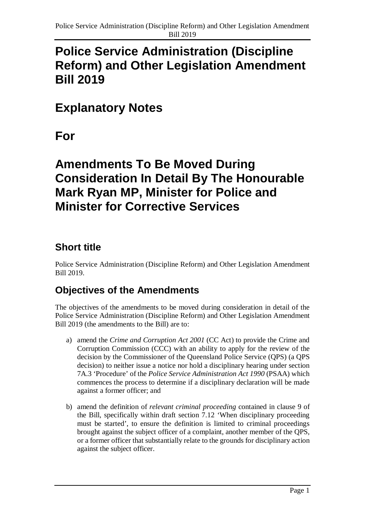# **Police Service Administration (Discipline Reform) and Other Legislation Amendment Bill 2019**

## **Explanatory Notes**

**For**

# **Amendments To Be Moved During Consideration In Detail By The Honourable Mark Ryan MP, Minister for Police and Minister for Corrective Services**

## **Short title**

Police Service Administration (Discipline Reform) and Other Legislation Amendment Bill 2019.

## **Objectives of the Amendments**

The objectives of the amendments to be moved during consideration in detail of the Police Service Administration (Discipline Reform) and Other Legislation Amendment Bill 2019 (the amendments to the Bill) are to:

- a) amend the *Crime and Corruption Act 2001* (CC Act) to provide the Crime and Corruption Commission (CCC) with an ability to apply for the review of the decision by the Commissioner of the Queensland Police Service (QPS) (a QPS decision) to neither issue a notice nor hold a disciplinary hearing under section 7A.3 'Procedure' of the *Police Service Administration Act 1990* (PSAA) which commences the process to determine if a disciplinary declaration will be made against a former officer; and
- b) amend the definition of *relevant criminal proceeding* contained in clause 9 of the Bill, specifically within draft section 7.12 'When disciplinary proceeding must be started', to ensure the definition is limited to criminal proceedings brought against the subject officer of a complaint, another member of the QPS, or a former officer that substantially relate to the grounds for disciplinary action against the subject officer.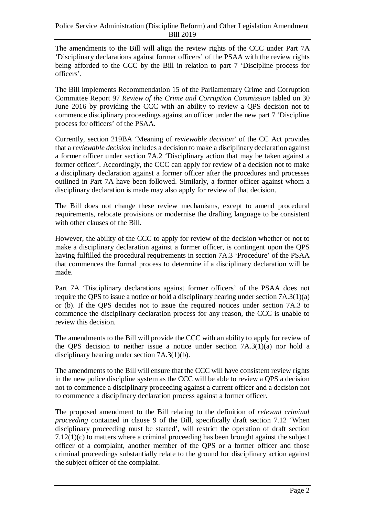The amendments to the Bill will align the review rights of the CCC under Part 7A 'Disciplinary declarations against former officers' of the PSAA with the review rights being afforded to the CCC by the Bill in relation to part 7 'Discipline process for officers'.

The Bill implements Recommendation 15 of the Parliamentary Crime and Corruption Committee Report 97 *Review of the Crime and Corruption Commission* tabled on 30 June 2016 by providing the CCC with an ability to review a QPS decision not to commence disciplinary proceedings against an officer under the new part 7 'Discipline process for officers' of the PSAA.

Currently, section 219BA 'Meaning of *reviewable decision*' of the CC Act provides that a *reviewable decision* includes a decision to make a disciplinary declaration against a former officer under section 7A.2 'Disciplinary action that may be taken against a former officer'. Accordingly, the CCC can apply for review of a decision not to make a disciplinary declaration against a former officer after the procedures and processes outlined in Part 7A have been followed. Similarly, a former officer against whom a disciplinary declaration is made may also apply for review of that decision.

The Bill does not change these review mechanisms, except to amend procedural requirements, relocate provisions or modernise the drafting language to be consistent with other clauses of the Bill.

However, the ability of the CCC to apply for review of the decision whether or not to make a disciplinary declaration against a former officer, is contingent upon the QPS having fulfilled the procedural requirements in section 7A.3 'Procedure' of the PSAA that commences the formal process to determine if a disciplinary declaration will be made.

Part 7A 'Disciplinary declarations against former officers' of the PSAA does not require the QPS to issue a notice or hold a disciplinary hearing under section 7A.3(1)(a) or (b). If the QPS decides not to issue the required notices under section 7A.3 to commence the disciplinary declaration process for any reason, the CCC is unable to review this decision.

The amendments to the Bill will provide the CCC with an ability to apply for review of the QPS decision to neither issue a notice under section 7A.3(1)(a) nor hold a disciplinary hearing under section 7A.3(1)(b).

The amendments to the Bill will ensure that the CCC will have consistent review rights in the new police discipline system as the CCC will be able to review a QPS a decision not to commence a disciplinary proceeding against a current officer and a decision not to commence a disciplinary declaration process against a former officer.

The proposed amendment to the Bill relating to the definition of *relevant criminal proceeding* contained in clause 9 of the Bill, specifically draft section 7.12 'When disciplinary proceeding must be started', will restrict the operation of draft section 7.12(1)(c) to matters where a criminal proceeding has been brought against the subject officer of a complaint, another member of the QPS or a former officer and those criminal proceedings substantially relate to the ground for disciplinary action against the subject officer of the complaint.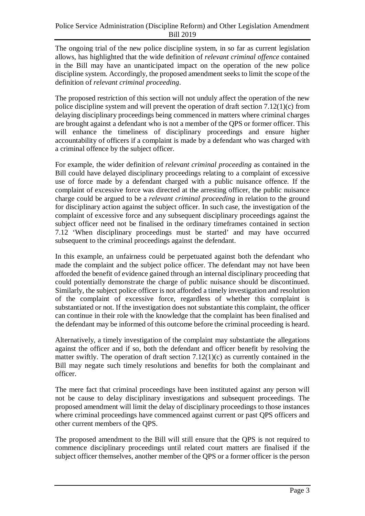The ongoing trial of the new police discipline system, in so far as current legislation allows, has highlighted that the wide definition of *relevant criminal offence* contained in the Bill may have an unanticipated impact on the operation of the new police discipline system. Accordingly, the proposed amendment seeks to limit the scope of the definition of *relevant criminal proceeding*.

The proposed restriction of this section will not unduly affect the operation of the new police discipline system and will prevent the operation of draft section 7.12(1)(c) from delaying disciplinary proceedings being commenced in matters where criminal charges are brought against a defendant who is not a member of the QPS or former officer. This will enhance the timeliness of disciplinary proceedings and ensure higher accountability of officers if a complaint is made by a defendant who was charged with a criminal offence by the subject officer.

For example, the wider definition of *relevant criminal proceeding* as contained in the Bill could have delayed disciplinary proceedings relating to a complaint of excessive use of force made by a defendant charged with a public nuisance offence. If the complaint of excessive force was directed at the arresting officer, the public nuisance charge could be argued to be a *relevant criminal proceeding* in relation to the ground for disciplinary action against the subject officer. In such case, the investigation of the complaint of excessive force and any subsequent disciplinary proceedings against the subject officer need not be finalised in the ordinary timeframes contained in section 7.12 'When disciplinary proceedings must be started' and may have occurred subsequent to the criminal proceedings against the defendant.

In this example, an unfairness could be perpetuated against both the defendant who made the complaint and the subject police officer. The defendant may not have been afforded the benefit of evidence gained through an internal disciplinary proceeding that could potentially demonstrate the charge of public nuisance should be discontinued. Similarly, the subject police officer is not afforded a timely investigation and resolution of the complaint of excessive force, regardless of whether this complaint is substantiated or not. If the investigation does not substantiate this complaint, the officer can continue in their role with the knowledge that the complaint has been finalised and the defendant may be informed of this outcome before the criminal proceeding is heard.

Alternatively, a timely investigation of the complaint may substantiate the allegations against the officer and if so, both the defendant and officer benefit by resolving the matter swiftly. The operation of draft section 7.12(1)(c) as currently contained in the Bill may negate such timely resolutions and benefits for both the complainant and officer.

The mere fact that criminal proceedings have been instituted against any person will not be cause to delay disciplinary investigations and subsequent proceedings. The proposed amendment will limit the delay of disciplinary proceedings to those instances where criminal proceedings have commenced against current or past QPS officers and other current members of the QPS.

The proposed amendment to the Bill will still ensure that the QPS is not required to commence disciplinary proceedings until related court matters are finalised if the subject officer themselves, another member of the QPS or a former officer is the person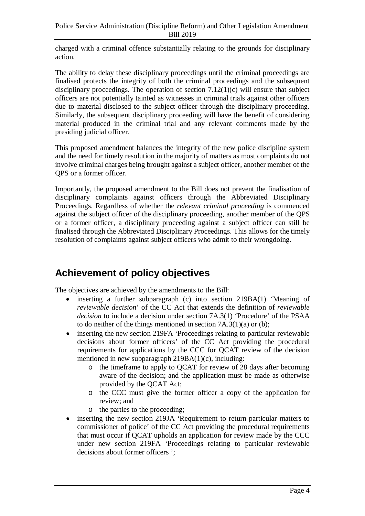charged with a criminal offence substantially relating to the grounds for disciplinary action.

The ability to delay these disciplinary proceedings until the criminal proceedings are finalised protects the integrity of both the criminal proceedings and the subsequent disciplinary proceedings. The operation of section  $7.12(1)(c)$  will ensure that subject officers are not potentially tainted as witnesses in criminal trials against other officers due to material disclosed to the subject officer through the disciplinary proceeding. Similarly, the subsequent disciplinary proceeding will have the benefit of considering material produced in the criminal trial and any relevant comments made by the presiding judicial officer.

This proposed amendment balances the integrity of the new police discipline system and the need for timely resolution in the majority of matters as most complaints do not involve criminal charges being brought against a subject officer, another member of the QPS or a former officer.

Importantly, the proposed amendment to the Bill does not prevent the finalisation of disciplinary complaints against officers through the Abbreviated Disciplinary Proceedings. Regardless of whether the *relevant criminal proceeding* is commenced against the subject officer of the disciplinary proceeding, another member of the QPS or a former officer, a disciplinary proceeding against a subject officer can still be finalised through the Abbreviated Disciplinary Proceedings. This allows for the timely resolution of complaints against subject officers who admit to their wrongdoing.

### **Achievement of policy objectives**

The objectives are achieved by the amendments to the Bill:

- inserting a further subparagraph (c) into section 219BA(1) 'Meaning of *reviewable decision*' of the CC Act that extends the definition of *reviewable decision* to include a decision under section 7A.3(1) 'Procedure' of the PSAA to do neither of the things mentioned in section 7A.3(1)(a) or (b);
- inserting the new section 219FA 'Proceedings relating to particular reviewable decisions about former officers' of the CC Act providing the procedural requirements for applications by the CCC for QCAT review of the decision mentioned in new subparagraph 219BA(1)(c), including:
	- o the timeframe to apply to QCAT for review of 28 days after becoming aware of the decision; and the application must be made as otherwise provided by the QCAT Act;
	- o the CCC must give the former officer a copy of the application for review; and
	- o the parties to the proceeding;
- inserting the new section 219JA 'Requirement to return particular matters to commissioner of police' of the CC Act providing the procedural requirements that must occur if QCAT upholds an application for review made by the CCC under new section 219FA 'Proceedings relating to particular reviewable decisions about former officers ';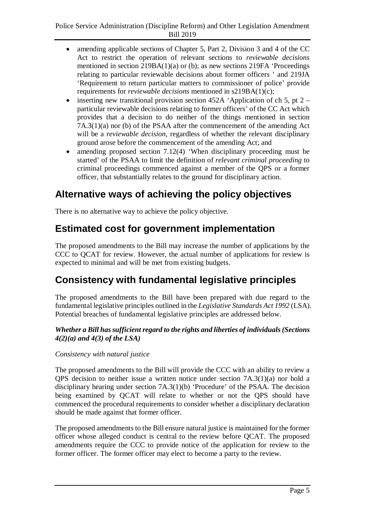- amending applicable sections of Chapter 5, Part 2, Division 3 and 4 of the CC Act to restrict the operation of relevant sections to *reviewable decisions* mentioned in section 219BA(1)(a) or (b); as new sections 219FA 'Proceedings relating to particular reviewable decisions about former officers ' and 219JA 'Requirement to return particular matters to commissioner of police' provide requirements for *reviewable decisions* mentioned in s219BA(1)(c);
- inserting new transitional provision section  $452A$  'Application of ch 5, pt 2 particular reviewable decisions relating to former officers' of the CC Act which provides that a decision to do neither of the things mentioned in section 7A.3(1)(a) nor (b) of the PSAA after the commencement of the amending Act will be a *reviewable decision*, regardless of whether the relevant disciplinary ground arose before the commencement of the amending Act; and
- amending proposed section  $7.12(4)$  'When disciplinary proceeding must be started' of the PSAA to limit the definition of *relevant criminal proceeding* to criminal proceedings commenced against a member of the QPS or a former officer, that substantially relates to the ground for disciplinary action.

### **Alternative ways of achieving the policy objectives**

There is no alternative way to achieve the policy objective.

### **Estimated cost for government implementation**

The proposed amendments to the Bill may increase the number of applications by the CCC to QCAT for review. However, the actual number of applications for review is expected to minimal and will be met from existing budgets.

### **Consistency with fundamental legislative principles**

The proposed amendments to the Bill have been prepared with due regard to the fundamental legislative principles outlined in the *Legislative Standards Act 1992* (LSA). Potential breaches of fundamental legislative principles are addressed below.

### *Whether a Bill has sufficient regard to the rights and liberties of individuals (Sections 4(2)(a) and 4(3) of the LSA)*

### *Consistency with natural justice*

The proposed amendments to the Bill will provide the CCC with an ability to review a QPS decision to neither issue a written notice under section 7A.3(1)(a) nor hold a disciplinary hearing under section 7A.3(1)(b) 'Procedure' of the PSAA. The decision being examined by QCAT will relate to whether or not the QPS should have commenced the procedural requirements to consider whether a disciplinary declaration should be made against that former officer.

The proposed amendments to the Bill ensure natural justice is maintained for the former officer whose alleged conduct is central to the review before QCAT. The proposed amendments require the CCC to provide notice of the application for review to the former officer. The former officer may elect to become a party to the review.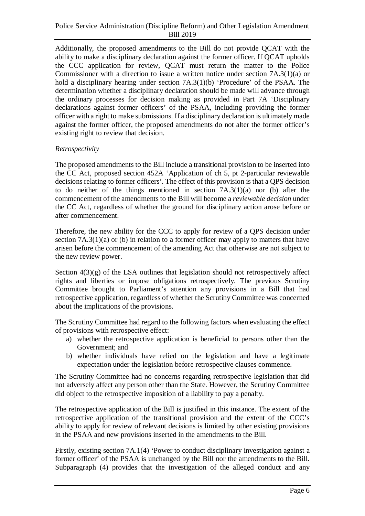Additionally, the proposed amendments to the Bill do not provide QCAT with the ability to make a disciplinary declaration against the former officer. If QCAT upholds the CCC application for review, QCAT must return the matter to the Police Commissioner with a direction to issue a written notice under section 7A.3(1)(a) or hold a disciplinary hearing under section 7A.3(1)(b) 'Procedure' of the PSAA. The determination whether a disciplinary declaration should be made will advance through the ordinary processes for decision making as provided in Part 7A 'Disciplinary declarations against former officers' of the PSAA, including providing the former officer with a right to make submissions. If a disciplinary declaration is ultimately made against the former officer, the proposed amendments do not alter the former officer's existing right to review that decision.

### *Retrospectivity*

The proposed amendments to the Bill include a transitional provision to be inserted into the CC Act, proposed section 452A 'Application of ch 5, pt 2-particular reviewable decisions relating to former officers'. The effect of this provision is that a QPS decision to do neither of the things mentioned in section 7A.3(1)(a) nor (b) after the commencement of the amendments to the Bill will become a *reviewable decision* under the CC Act, regardless of whether the ground for disciplinary action arose before or after commencement.

Therefore, the new ability for the CCC to apply for review of a QPS decision under section  $7A.3(1)(a)$  or (b) in relation to a former officer may apply to matters that have arisen before the commencement of the amending Act that otherwise are not subject to the new review power.

Section 4(3)(g) of the LSA outlines that legislation should not retrospectively affect rights and liberties or impose obligations retrospectively. The previous Scrutiny Committee brought to Parliament's attention any provisions in a Bill that had retrospective application, regardless of whether the Scrutiny Committee was concerned about the implications of the provisions.

The Scrutiny Committee had regard to the following factors when evaluating the effect of provisions with retrospective effect:

- a) whether the retrospective application is beneficial to persons other than the Government; and
- b) whether individuals have relied on the legislation and have a legitimate expectation under the legislation before retrospective clauses commence.

The Scrutiny Committee had no concerns regarding retrospective legislation that did not adversely affect any person other than the State. However, the Scrutiny Committee did object to the retrospective imposition of a liability to pay a penalty.

The retrospective application of the Bill is justified in this instance. The extent of the retrospective application of the transitional provision and the extent of the CCC's ability to apply for review of relevant decisions is limited by other existing provisions in the PSAA and new provisions inserted in the amendments to the Bill.

Firstly, existing section 7A.1(4) 'Power to conduct disciplinary investigation against a former officer' of the PSAA is unchanged by the Bill nor the amendments to the Bill. Subparagraph (4) provides that the investigation of the alleged conduct and any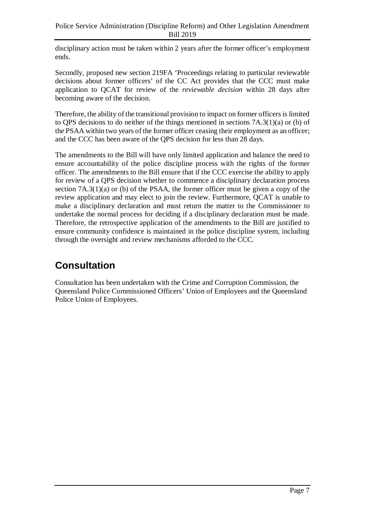disciplinary action must be taken within 2 years after the former officer's employment ends.

Secondly, proposed new section 219FA 'Proceedings relating to particular reviewable decisions about former officers' of the CC Act provides that the CCC must make application to QCAT for review of the *reviewable decision* within 28 days after becoming aware of the decision.

Therefore, the ability of the transitional provision to impact on former officers is limited to QPS decisions to do neither of the things mentioned in sections 7A.3(1)(a) or (b) of the PSAA within two years of the former officer ceasing their employment as an officer; and the CCC has been aware of the QPS decision for less than 28 days.

The amendments to the Bill will have only limited application and balance the need to ensure accountability of the police discipline process with the rights of the former officer. The amendments to the Bill ensure that if the CCC exercise the ability to apply for review of a QPS decision whether to commence a disciplinary declaration process section  $7A.3(1)(a)$  or (b) of the PSAA, the former officer must be given a copy of the review application and may elect to join the review. Furthermore, QCAT is unable to make a disciplinary declaration and must return the matter to the Commissioner to undertake the normal process for deciding if a disciplinary declaration must be made. Therefore, the retrospective application of the amendments to the Bill are justified to ensure community confidence is maintained in the police discipline system, including through the oversight and review mechanisms afforded to the CCC.

## **Consultation**

Consultation has been undertaken with the Crime and Corruption Commission, the Queensland Police Commissioned Officers' Union of Employees and the Queensland Police Union of Employees.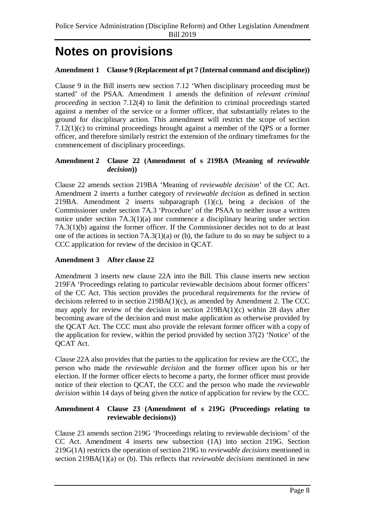## **Notes on provisions**

### **Amendment 1 Clause 9 (Replacement of pt 7 (Internal command and discipline))**

Clause 9 in the Bill inserts new section 7.12 'When disciplinary proceeding must be started' of the PSAA. Amendment 1 amends the definition of *relevant criminal proceeding* in section 7.12(4) to limit the definition to criminal proceedings started against a member of the service or a former officer, that substantially relates to the ground for disciplinary action. This amendment will restrict the scope of section 7.12(1)(c) to criminal proceedings brought against a member of the QPS or a former officer, and therefore similarly restrict the extension of the ordinary timeframes for the commencement of disciplinary proceedings.

### Amendment 2 Clause 22 (Amendment of s 219BA (Meaning of *reviewable decision***))**

Clause 22 amends section 219BA 'Meaning of *reviewable decision*' of the CC Act. Amendment 2 inserts a further category of *reviewable decision* as defined in section 219BA. Amendment 2 inserts subparagraph (1)(c), being a decision of the Commissioner under section 7A.3 'Procedure' of the PSAA to neither issue a written notice under section 7A.3(1)(a) nor commence a disciplinary hearing under section 7A.3(1)(b) against the former officer. If the Commissioner decides not to do at least one of the actions in section 7A.3(1)(a) or (b), the failure to do so may be subject to a CCC application for review of the decision in QCAT.

### **Amendment 3 After clause 22**

Amendment 3 inserts new clause 22A into the Bill. This clause inserts new section 219FA 'Proceedings relating to particular reviewable decisions about former officers' of the CC Act. This section provides the procedural requirements for the review of decisions referred to in section  $219BA(1)(c)$ , as amended by Amendment 2. The CCC may apply for review of the decision in section 219BA(1)(c) within 28 days after becoming aware of the decision and must make application as otherwise provided by the QCAT Act. The CCC must also provide the relevant former officer with a copy of the application for review, within the period provided by section 37(2) 'Notice' of the QCAT Act.

Clause 22A also provides that the parties to the application for review are the CCC, the person who made the *reviewable decision* and the former officer upon his or her election. If the former officer elects to become a party, the former officer must provide notice of their election to QCAT, the CCC and the person who made the *reviewable decision* within 14 days of being given the notice of application for review by the CCC.

### **Amendment 4 Clause 23 (Amendment of s 219G (Proceedings relating to reviewable decisions))**

Clause 23 amends section 219G 'Proceedings relating to reviewable decisions' of the CC Act. Amendment 4 inserts new subsection (1A) into section 219G. Section 219G(1A) restricts the operation of section 219G to *reviewable decisions* mentioned in section 219BA(1)(a) or (b). This reflects that *reviewable decisions* mentioned in new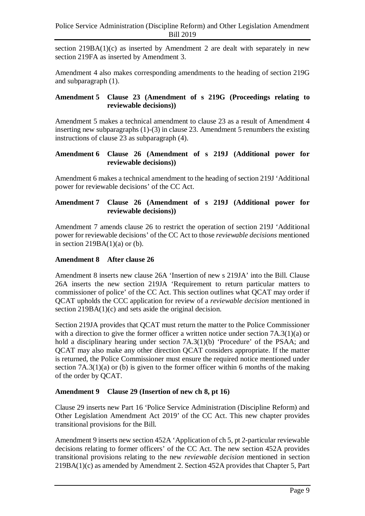section  $219BA(1)(c)$  as inserted by Amendment 2 are dealt with separately in new section 219FA as inserted by Amendment 3.

Amendment 4 also makes corresponding amendments to the heading of section 219G and subparagraph (1).

### **Amendment 5 Clause 23 (Amendment of s 219G (Proceedings relating to reviewable decisions))**

Amendment 5 makes a technical amendment to clause 23 as a result of Amendment 4 inserting new subparagraphs (1)-(3) in clause 23. Amendment 5 renumbers the existing instructions of clause 23 as subparagraph (4).

### **Amendment 6 Clause 26 (Amendment of s 219J (Additional power for reviewable decisions))**

Amendment 6 makes a technical amendment to the heading of section 219J 'Additional power for reviewable decisions' of the CC Act.

### **Amendment 7 Clause 26 (Amendment of s 219J (Additional power for reviewable decisions))**

Amendment 7 amends clause 26 to restrict the operation of section 219J 'Additional power for reviewable decisions' of the CC Act to those *reviewable decisions* mentioned in section  $219BA(1)(a)$  or (b).

### **Amendment 8 After clause 26**

Amendment 8 inserts new clause 26A 'Insertion of new s 219JA' into the Bill. Clause 26A inserts the new section 219JA 'Requirement to return particular matters to commissioner of police' of the CC Act. This section outlines what QCAT may order if QCAT upholds the CCC application for review of a *reviewable decision* mentioned in section 219BA(1)(c) and sets aside the original decision.

Section 219JA provides that QCAT must return the matter to the Police Commissioner with a direction to give the former officer a written notice under section 7A.3(1)(a) or hold a disciplinary hearing under section 7A.3(1)(b) 'Procedure' of the PSAA; and QCAT may also make any other direction QCAT considers appropriate. If the matter is returned, the Police Commissioner must ensure the required notice mentioned under section  $7A.3(1)(a)$  or (b) is given to the former officer within 6 months of the making of the order by QCAT.

### **Amendment 9 Clause 29 (Insertion of new ch 8, pt 16)**

Clause 29 inserts new Part 16 'Police Service Administration (Discipline Reform) and Other Legislation Amendment Act 2019' of the CC Act. This new chapter provides transitional provisions for the Bill.

Amendment 9 inserts new section 452A 'Application of ch 5, pt 2-particular reviewable decisions relating to former officers' of the CC Act. The new section 452A provides transitional provisions relating to the new *reviewable decision* mentioned in section 219BA(1)(c) as amended by Amendment 2. Section 452A provides that Chapter 5, Part